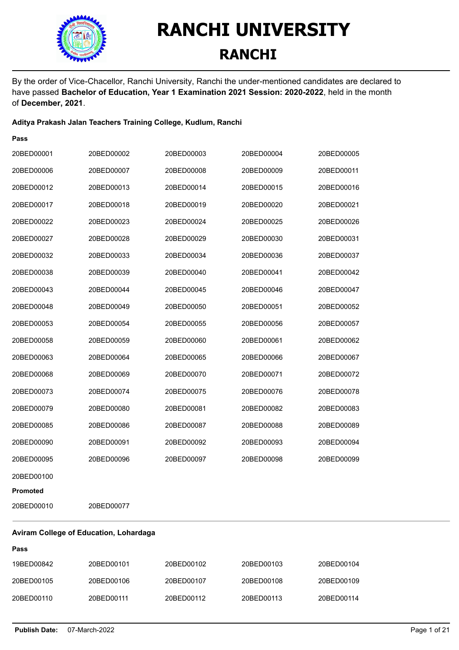

By the order of Vice-Chacellor, Ranchi University, Ranchi the under-mentioned candidates are declared to have passed **Bachelor of Education, Year 1 Examination 2021 Session: 2020-2022**, held in the month of **December, 2021**.

#### **Aditya Prakash Jalan Teachers Training College, Kudlum, Ranchi**

| Pass       |            |            |            |            |
|------------|------------|------------|------------|------------|
| 20BED00001 | 20BED00002 | 20BED00003 | 20BED00004 | 20BED00005 |
| 20BED00006 | 20BED00007 | 20BED00008 | 20BED00009 | 20BED00011 |
| 20BED00012 | 20BED00013 | 20BED00014 | 20BED00015 | 20BED00016 |
| 20BED00017 | 20BED00018 | 20BED00019 | 20BED00020 | 20BED00021 |
| 20BED00022 | 20BED00023 | 20BED00024 | 20BED00025 | 20BED00026 |
| 20BED00027 | 20BED00028 | 20BED00029 | 20BED00030 | 20BED00031 |
| 20BED00032 | 20BED00033 | 20BED00034 | 20BED00036 | 20BED00037 |
| 20BED00038 | 20BED00039 | 20BED00040 | 20BED00041 | 20BED00042 |
| 20BED00043 | 20BED00044 | 20BED00045 | 20BED00046 | 20BED00047 |
| 20BED00048 | 20BED00049 | 20BED00050 | 20BED00051 | 20BED00052 |
| 20BED00053 | 20BED00054 | 20BED00055 | 20BED00056 | 20BED00057 |
| 20BED00058 | 20BED00059 | 20BED00060 | 20BED00061 | 20BED00062 |
| 20BED00063 | 20BED00064 | 20BED00065 | 20BED00066 | 20BED00067 |
| 20BED00068 | 20BED00069 | 20BED00070 | 20BED00071 | 20BED00072 |
| 20BED00073 | 20BED00074 | 20BED00075 | 20BED00076 | 20BED00078 |
| 20BED00079 | 20BED00080 | 20BED00081 | 20BED00082 | 20BED00083 |
| 20BED00085 | 20BED00086 | 20BED00087 | 20BED00088 | 20BED00089 |
| 20BED00090 | 20BED00091 | 20BED00092 | 20BED00093 | 20BED00094 |
| 20BED00095 | 20BED00096 | 20BED00097 | 20BED00098 | 20BED00099 |
| 20BED00100 |            |            |            |            |
| Promoted   |            |            |            |            |
| 20BED00010 | 20BED00077 |            |            |            |

#### **Aviram College of Education, Lohardaga**

| 19BED00842 | 20BED00101 | 20BED00102 | 20BED00103 | 20BED00104 |
|------------|------------|------------|------------|------------|
| 20BED00105 | 20BED00106 | 20BED00107 | 20BED00108 | 20BED00109 |
| 20BED00110 | 20BED00111 | 20BED00112 | 20BED00113 | 20BED00114 |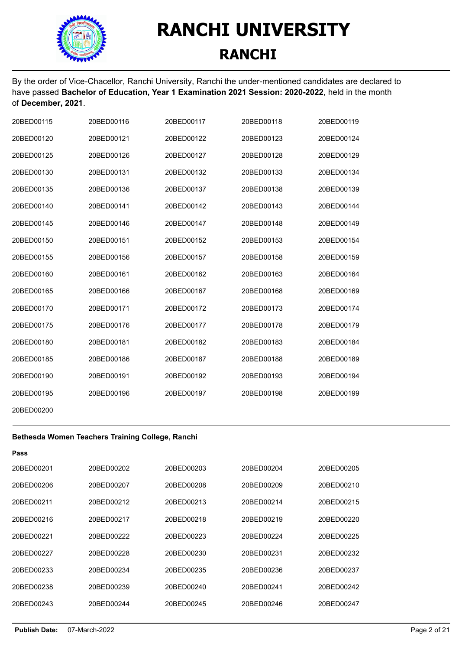

By the order of Vice-Chacellor, Ranchi University, Ranchi the under-mentioned candidates are declared to have passed **Bachelor of Education, Year 1 Examination 2021 Session: 2020-2022**, held in the month of **December, 2021**.

| 20BED00115 | 20BED00116 | 20BED00117 | 20BED00118 | 20BED00119 |
|------------|------------|------------|------------|------------|
| 20BED00120 | 20BED00121 | 20BED00122 | 20BED00123 | 20BED00124 |
| 20BED00125 | 20BED00126 | 20BED00127 | 20BED00128 | 20BED00129 |
| 20BED00130 | 20BED00131 | 20BED00132 | 20BED00133 | 20BED00134 |
| 20BED00135 | 20BED00136 | 20BED00137 | 20BED00138 | 20BED00139 |
| 20BED00140 | 20BED00141 | 20BED00142 | 20BED00143 | 20BED00144 |
| 20BED00145 | 20BED00146 | 20BED00147 | 20BED00148 | 20BED00149 |
| 20BED00150 | 20BED00151 | 20BED00152 | 20BED00153 | 20BED00154 |
| 20BED00155 | 20BED00156 | 20BED00157 | 20BED00158 | 20BED00159 |
| 20BED00160 | 20BED00161 | 20BED00162 | 20BED00163 | 20BED00164 |
| 20BED00165 | 20BED00166 | 20BED00167 | 20BED00168 | 20BED00169 |
| 20BED00170 | 20BED00171 | 20BED00172 | 20BED00173 | 20BED00174 |
| 20BED00175 | 20BED00176 | 20BED00177 | 20BED00178 | 20BED00179 |
| 20BED00180 | 20BED00181 | 20BED00182 | 20BED00183 | 20BED00184 |
| 20BED00185 | 20BED00186 | 20BED00187 | 20BED00188 | 20BED00189 |
| 20BED00190 | 20BED00191 | 20BED00192 | 20BED00193 | 20BED00194 |
| 20BED00195 | 20BED00196 | 20BED00197 | 20BED00198 | 20BED00199 |
| 20BED00200 |            |            |            |            |

#### **Bethesda Women Teachers Training College, Ranchi**

| 20BED00201 | 20BED00202 | 20BED00203 | 20BED00204 | 20BED00205 |
|------------|------------|------------|------------|------------|
| 20BED00206 | 20BED00207 | 20BED00208 | 20BED00209 | 20BED00210 |
| 20BFD00211 | 20BED00212 | 20BED00213 | 20BED00214 | 20BED00215 |
| 20BED00216 | 20BED00217 | 20BED00218 | 20BED00219 | 20BED00220 |
| 20BED00221 | 20BED00222 | 20BED00223 | 20BED00224 | 20BED00225 |
| 20BED00227 | 20BED00228 | 20BED00230 | 20BED00231 | 20BED00232 |
| 20BED00233 | 20BED00234 | 20BED00235 | 20BED00236 | 20BED00237 |
| 20BED00238 | 20BED00239 | 20BED00240 | 20BED00241 | 20BED00242 |
| 20BED00243 | 20BED00244 | 20BED00245 | 20BED00246 | 20BED00247 |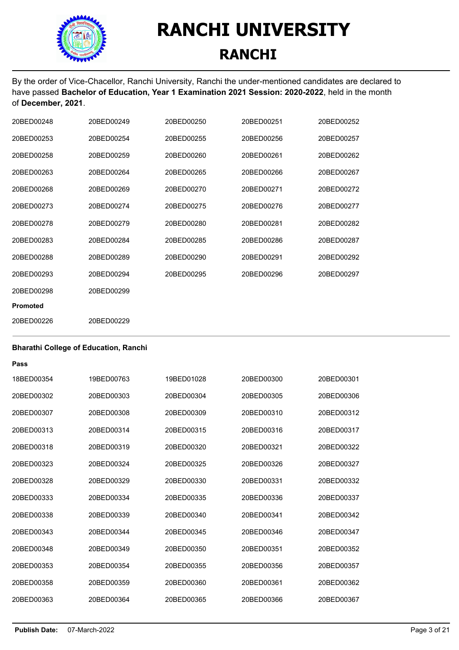

By the order of Vice-Chacellor, Ranchi University, Ranchi the under-mentioned candidates are declared to have passed **Bachelor of Education, Year 1 Examination 2021 Session: 2020-2022**, held in the month of **December, 2021**.

| 20BED00248      | 20BED00249 | 20BED00250 | 20BED00251 | 20BED00252 |
|-----------------|------------|------------|------------|------------|
| 20BED00253      | 20BED00254 | 20BED00255 | 20BED00256 | 20BED00257 |
| 20BED00258      | 20BED00259 | 20BED00260 | 20BED00261 | 20BED00262 |
| 20BED00263      | 20BED00264 | 20BED00265 | 20BED00266 | 20BED00267 |
| 20BED00268      | 20BED00269 | 20BED00270 | 20BED00271 | 20BED00272 |
| 20BED00273      | 20BED00274 | 20BED00275 | 20BED00276 | 20BED00277 |
| 20BED00278      | 20BED00279 | 20BED00280 | 20BED00281 | 20BED00282 |
| 20BED00283      | 20BED00284 | 20BED00285 | 20BED00286 | 20BED00287 |
| 20BED00288      | 20BED00289 | 20BED00290 | 20BED00291 | 20BED00292 |
| 20BED00293      | 20BED00294 | 20BED00295 | 20BED00296 | 20BED00297 |
| 20BED00298      | 20BED00299 |            |            |            |
| <b>Promoted</b> |            |            |            |            |
| 20BED00226      | 20BED00229 |            |            |            |

#### **Bharathi College of Education, Ranchi**

| 18BFD00354 | 19BFD00763 | 19BFD01028 | 20BED00300 | 20BED00301 |
|------------|------------|------------|------------|------------|
| 20BFD00302 | 20BED00303 | 20BFD00304 | 20BED00305 | 20BED00306 |
| 20BED00307 | 20BED00308 | 20BED00309 | 20BED00310 | 20BED00312 |
| 20BED00313 | 20BED00314 | 20BED00315 | 20BED00316 | 20BED00317 |
| 20BFD00318 | 20BFD00319 | 20BFD00320 | 20BFD00321 | 20BED00322 |
| 20BED00323 | 20BED00324 | 20BED00325 | 20BED00326 | 20BED00327 |
| 20BED00328 | 20BFD00329 | 20BED00330 | 20BED00331 | 20BED00332 |
| 20BED00333 | 20BED00334 | 20BED00335 | 20BED00336 | 20BED00337 |
| 20BED00338 | 20BED00339 | 20BED00340 | 20BED00341 | 20BED00342 |
| 20BED00343 | 20BFD00344 | 20BED00345 | 20BED00346 | 20BED00347 |
| 20BED00348 | 20BED00349 | 20BED00350 | 20BED00351 | 20BED00352 |
| 20BED00353 | 20BFD00354 | 20BFD00355 | 20BED00356 | 20BED00357 |
| 20BED00358 | 20BED00359 | 20BED00360 | 20BED00361 | 20BED00362 |
| 20BED00363 | 20BFD00364 | 20BED00365 | 20BED00366 | 20BED00367 |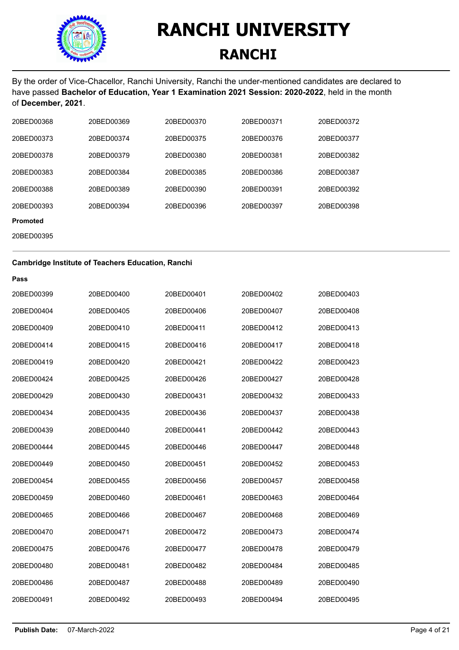

By the order of Vice-Chacellor, Ranchi University, Ranchi the under-mentioned candidates are declared to have passed **Bachelor of Education, Year 1 Examination 2021 Session: 2020-2022**, held in the month of **December, 2021**.

| 20BED00368      | 20BED00369 | 20BED00370 | 20BED00371 | 20BED00372 |
|-----------------|------------|------------|------------|------------|
| 20BED00373      | 20BED00374 | 20BED00375 | 20BED00376 | 20BED00377 |
| 20BED00378      | 20BED00379 | 20BED00380 | 20BED00381 | 20BED00382 |
| 20BED00383      | 20BED00384 | 20BED00385 | 20BED00386 | 20BED00387 |
| 20BED00388      | 20BED00389 | 20BED00390 | 20BED00391 | 20BED00392 |
| 20BED00393      | 20BED00394 | 20BED00396 | 20BED00397 | 20BED00398 |
| <b>Promoted</b> |            |            |            |            |

20BED00395

| <b>Cambridge Institute of Teachers Education, Ranchi</b> |            |            |            |            |
|----------------------------------------------------------|------------|------------|------------|------------|
| Pass                                                     |            |            |            |            |
| 20BED00399                                               | 20BED00400 | 20BED00401 | 20BED00402 | 20BED00403 |
| 20BED00404                                               | 20BED00405 | 20BED00406 | 20BED00407 | 20BED00408 |
| 20BED00409                                               | 20BED00410 | 20BED00411 | 20BED00412 | 20BED00413 |
| 20BED00414                                               | 20BED00415 | 20BED00416 | 20BED00417 | 20BED00418 |
| 20BED00419                                               | 20BED00420 | 20BED00421 | 20BED00422 | 20BED00423 |
| 20BED00424                                               | 20BED00425 | 20BED00426 | 20BED00427 | 20BED00428 |
| 20BED00429                                               | 20BED00430 | 20BED00431 | 20BED00432 | 20BED00433 |
| 20BED00434                                               | 20BED00435 | 20BED00436 | 20BED00437 | 20BED00438 |
| 20BED00439                                               | 20BED00440 | 20BED00441 | 20BED00442 | 20BED00443 |
| 20BED00444                                               | 20BED00445 | 20BED00446 | 20BED00447 | 20BED00448 |
| 20BED00449                                               | 20BED00450 | 20BED00451 | 20BED00452 | 20BED00453 |
| 20BED00454                                               | 20BED00455 | 20BED00456 | 20BED00457 | 20BED00458 |
| 20BED00459                                               | 20BED00460 | 20BED00461 | 20BED00463 | 20BED00464 |
| 20BED00465                                               | 20BED00466 | 20BED00467 | 20BED00468 | 20BED00469 |
| 20BED00470                                               | 20BED00471 | 20BED00472 | 20BED00473 | 20BED00474 |
| 20BED00475                                               | 20BED00476 | 20BED00477 | 20BED00478 | 20BED00479 |
| 20BED00480                                               | 20BED00481 | 20BED00482 | 20BED00484 | 20BED00485 |
| 20BED00486                                               | 20BED00487 | 20BED00488 | 20BED00489 | 20BED00490 |
| 20BED00491                                               | 20BED00492 | 20BED00493 | 20BED00494 | 20BED00495 |
|                                                          |            |            |            |            |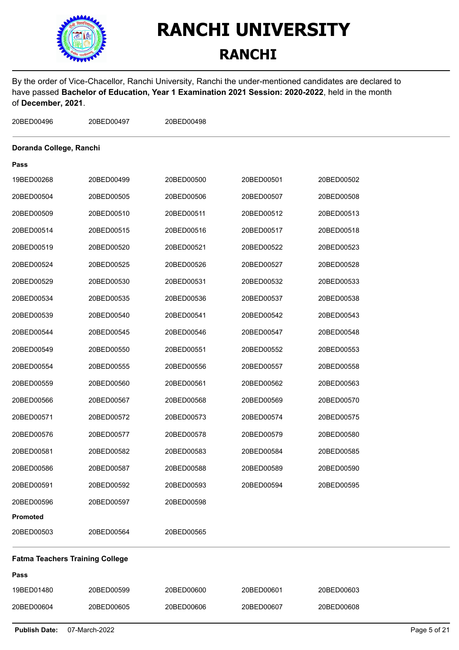

### **RANCHI**

By the order of Vice-Chacellor, Ranchi University, Ranchi the under-mentioned candidates are declared to have passed **Bachelor of Education, Year 1 Examination 2021 Session: 2020-2022**, held in the month of **December, 2021**.

| 20BED00496                             | 20BED00497 | 20BED00498 |            |            |  |
|----------------------------------------|------------|------------|------------|------------|--|
| Doranda College, Ranchi                |            |            |            |            |  |
| Pass                                   |            |            |            |            |  |
| 19BED00268                             | 20BED00499 | 20BED00500 | 20BED00501 | 20BED00502 |  |
| 20BED00504                             | 20BED00505 | 20BED00506 | 20BED00507 | 20BED00508 |  |
| 20BED00509                             | 20BED00510 | 20BED00511 | 20BED00512 | 20BED00513 |  |
| 20BED00514                             | 20BED00515 | 20BED00516 | 20BED00517 | 20BED00518 |  |
| 20BED00519                             | 20BED00520 | 20BED00521 | 20BED00522 | 20BED00523 |  |
| 20BED00524                             | 20BED00525 | 20BED00526 | 20BED00527 | 20BED00528 |  |
| 20BED00529                             | 20BED00530 | 20BED00531 | 20BED00532 | 20BED00533 |  |
| 20BED00534                             | 20BED00535 | 20BED00536 | 20BED00537 | 20BED00538 |  |
| 20BED00539                             | 20BED00540 | 20BED00541 | 20BED00542 | 20BED00543 |  |
| 20BED00544                             | 20BED00545 | 20BED00546 | 20BED00547 | 20BED00548 |  |
| 20BED00549                             | 20BED00550 | 20BED00551 | 20BED00552 | 20BED00553 |  |
| 20BED00554                             | 20BED00555 | 20BED00556 | 20BED00557 | 20BED00558 |  |
| 20BED00559                             | 20BED00560 | 20BED00561 | 20BED00562 | 20BED00563 |  |
| 20BED00566                             | 20BED00567 | 20BED00568 | 20BED00569 | 20BED00570 |  |
| 20BED00571                             | 20BED00572 | 20BED00573 | 20BED00574 | 20BED00575 |  |
| 20BED00576                             | 20BED00577 | 20BED00578 | 20BED00579 | 20BED00580 |  |
| 20BED00581                             | 20BED00582 | 20BED00583 | 20BED00584 | 20BED00585 |  |
| 20BED00586                             | 20BED00587 | 20BED00588 | 20BED00589 | 20BED00590 |  |
| 20BED00591                             | 20BED00592 | 20BED00593 | 20BED00594 | 20BED00595 |  |
| 20BED00596                             | 20BED00597 | 20BED00598 |            |            |  |
| Promoted                               |            |            |            |            |  |
| 20BED00503                             | 20BED00564 | 20BED00565 |            |            |  |
| <b>Fatma Teachers Training College</b> |            |            |            |            |  |
| Pass                                   |            |            |            |            |  |
| 19BED01480                             | 20BED00599 | 20BED00600 | 20BED00601 | 20BED00603 |  |
| 20BED00604                             | 20BED00605 | 20BED00606 | 20BED00607 | 20BED00608 |  |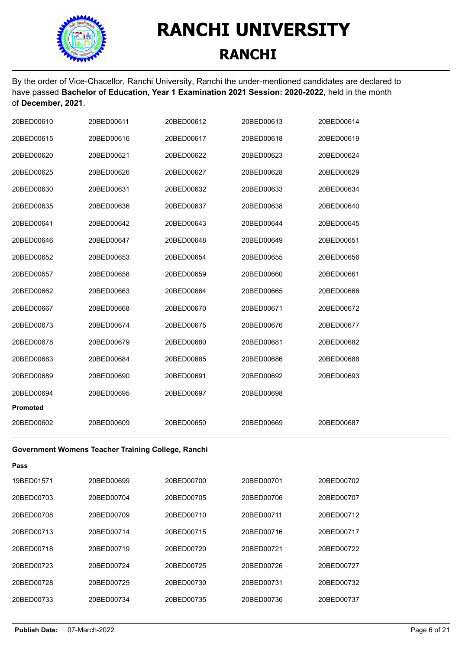

By the order of Vice-Chacellor, Ranchi University, Ranchi the under-mentioned candidates are declared to have passed **Bachelor of Education, Year 1 Examination 2021 Session: 2020-2022**, held in the month of **December, 2021**.

| 20BED00610      | 20BED00611 | 20BED00612 | 20BED00613 | 20BED00614 |
|-----------------|------------|------------|------------|------------|
| 20BED00615      | 20BED00616 | 20BED00617 | 20BED00618 | 20BED00619 |
| 20BED00620      | 20BED00621 | 20BED00622 | 20BED00623 | 20BED00624 |
| 20BED00625      | 20BED00626 | 20BED00627 | 20BED00628 | 20BED00629 |
| 20BED00630      | 20BED00631 | 20BED00632 | 20BED00633 | 20BED00634 |
| 20BED00635      | 20BED00636 | 20BED00637 | 20BED00638 | 20BED00640 |
| 20BED00641      | 20BED00642 | 20BED00643 | 20BED00644 | 20BED00645 |
| 20BED00646      | 20BED00647 | 20BED00648 | 20BED00649 | 20BED00651 |
| 20BED00652      | 20BED00653 | 20BED00654 | 20BED00655 | 20BED00656 |
| 20BED00657      | 20BED00658 | 20BED00659 | 20BED00660 | 20BED00661 |
| 20BED00662      | 20BED00663 | 20BED00664 | 20BED00665 | 20BED00666 |
| 20BED00667      | 20BED00668 | 20BED00670 | 20BED00671 | 20BED00672 |
| 20BED00673      | 20BED00674 | 20BED00675 | 20BED00676 | 20BED00677 |
| 20BED00678      | 20BED00679 | 20BED00680 | 20BED00681 | 20BED00682 |
| 20BED00683      | 20BED00684 | 20BED00685 | 20BED00686 | 20BED00688 |
| 20BED00689      | 20BED00690 | 20BED00691 | 20BED00692 | 20BED00693 |
| 20BED00694      | 20BED00695 | 20BED00697 | 20BED00698 |            |
| <b>Promoted</b> |            |            |            |            |
| 20BED00602      | 20BED00609 | 20BED00650 | 20BED00669 | 20BED00687 |
|                 |            |            |            |            |

#### **Government Womens Teacher Training College, Ranchi**

| Pass       |            |            |            |            |
|------------|------------|------------|------------|------------|
| 19BED01571 | 20BED00699 | 20BED00700 | 20BED00701 | 20BED00702 |
| 20BED00703 | 20BED00704 | 20BED00705 | 20BED00706 | 20BED00707 |
| 20BED00708 | 20BED00709 | 20BED00710 | 20BED00711 | 20BED00712 |
| 20BED00713 | 20BED00714 | 20BED00715 | 20BED00716 | 20BED00717 |
| 20BED00718 | 20BED00719 | 20BED00720 | 20BED00721 | 20BED00722 |
| 20BED00723 | 20BED00724 | 20BED00725 | 20BED00726 | 20BED00727 |
| 20BED00728 | 20BED00729 | 20BED00730 | 20BED00731 | 20BED00732 |
| 20BED00733 | 20BED00734 | 20BED00735 | 20BED00736 | 20BED00737 |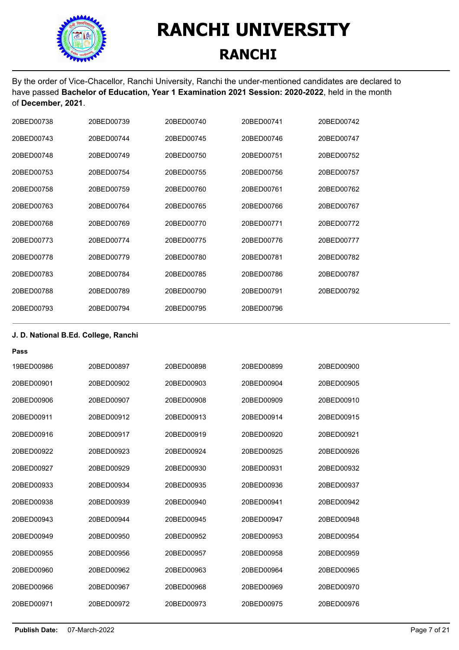

By the order of Vice-Chacellor, Ranchi University, Ranchi the under-mentioned candidates are declared to have passed **Bachelor of Education, Year 1 Examination 2021 Session: 2020-2022**, held in the month of **December, 2021**.

| 20BED00738 | 20BED00739 | 20BED00740 | 20BED00741 | 20BED00742 |
|------------|------------|------------|------------|------------|
| 20BED00743 | 20BED00744 | 20BED00745 | 20BED00746 | 20BED00747 |
| 20BED00748 | 20BED00749 | 20BED00750 | 20BED00751 | 20BED00752 |
| 20BED00753 | 20BED00754 | 20BED00755 | 20BED00756 | 20BED00757 |
| 20BED00758 | 20BED00759 | 20BED00760 | 20BED00761 | 20BED00762 |
| 20BED00763 | 20BED00764 | 20BED00765 | 20BED00766 | 20BED00767 |
| 20BED00768 | 20BED00769 | 20BED00770 | 20BED00771 | 20BED00772 |
| 20BED00773 | 20BED00774 | 20BED00775 | 20BED00776 | 20BED00777 |
| 20BED00778 | 20BED00779 | 20BED00780 | 20BED00781 | 20BED00782 |
| 20BED00783 | 20BED00784 | 20BED00785 | 20BED00786 | 20BED00787 |
| 20BED00788 | 20BED00789 | 20BED00790 | 20BED00791 | 20BED00792 |
| 20BED00793 | 20BED00794 | 20BED00795 | 20BED00796 |            |

### **J. D. National B.Ed. College, Ranchi**

| 19BED00986 | 20BED00897 | 20BED00898 | 20BED00899 | 20BED00900 |
|------------|------------|------------|------------|------------|
| 20BED00901 | 20BED00902 | 20BED00903 | 20BFD00904 | 20BED00905 |
| 20BED00906 | 20BED00907 | 20BED00908 | 20BED00909 | 20BED00910 |
| 20BED00911 | 20BFD00912 | 20BFD00913 | 20BFD00914 | 20BED00915 |
| 20BED00916 | 20BFD00917 | 20BFD00919 | 20BED00920 | 20BED00921 |
| 20BED00922 | 20BED00923 | 20BED00924 | 20BED00925 | 20BED00926 |
| 20BED00927 | 20BED00929 | 20BED00930 | 20BED00931 | 20BED00932 |
| 20BED00933 | 20BED00934 | 20BED00935 | 20BED00936 | 20BED00937 |
| 20BED00938 | 20BED00939 | 20BFD00940 | 20BED00941 | 20BED00942 |
| 20BFD00943 | 20BFD00944 | 20BFD00945 | 20BFD00947 | 20BFD00948 |
| 20BED00949 | 20BED00950 | 20BED00952 | 20BED00953 | 20BED00954 |
| 20BED00955 | 20BED00956 | 20BED00957 | 20BED00958 | 20BED00959 |
| 20BED00960 | 20BED00962 | 20BED00963 | 20BFD00964 | 20BED00965 |
| 20BED00966 | 20BED00967 | 20BED00968 | 20BED00969 | 20BED00970 |
| 20BED00971 | 20BFD00972 | 20BED00973 | 20BFD00975 | 20BED00976 |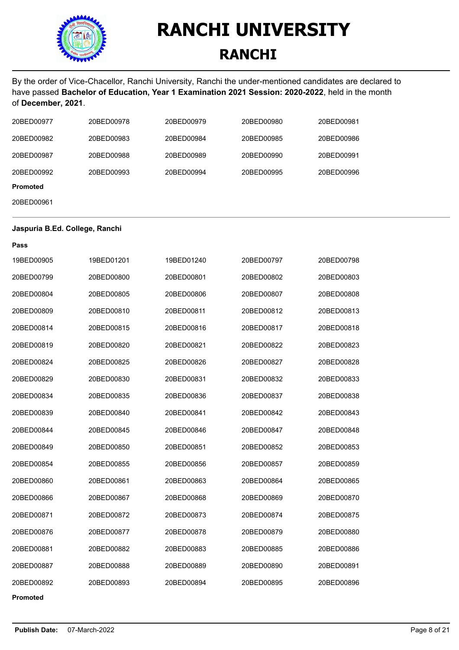

By the order of Vice-Chacellor, Ranchi University, Ranchi the under-mentioned candidates are declared to have passed **Bachelor of Education, Year 1 Examination 2021 Session: 2020-2022**, held in the month of **December, 2021**.

| 20BED00977      | 20BED00978 | 20BED00979 | 20BED00980 | 20BED00981 |
|-----------------|------------|------------|------------|------------|
| 20BED00982      | 20BED00983 | 20BED00984 | 20BED00985 | 20BED00986 |
| 20BED00987      | 20BED00988 | 20BED00989 | 20BED00990 | 20BED00991 |
| 20BED00992      | 20BED00993 | 20BED00994 | 20BED00995 | 20BED00996 |
| <b>Promoted</b> |            |            |            |            |
| 20BED00961      |            |            |            |            |
|                 |            |            |            |            |

#### **Jaspuria B.Ed. College, Ranchi**

| Pass       |            |            |            |            |
|------------|------------|------------|------------|------------|
| 19BED00905 | 19BED01201 | 19BED01240 | 20BED00797 | 20BED00798 |
| 20BED00799 | 20BED00800 | 20BED00801 | 20BED00802 | 20BED00803 |
| 20BED00804 | 20BED00805 | 20BED00806 | 20BED00807 | 20BED00808 |
| 20BED00809 | 20BED00810 | 20BED00811 | 20BED00812 | 20BED00813 |
| 20BED00814 | 20BED00815 | 20BED00816 | 20BED00817 | 20BED00818 |
| 20BED00819 | 20BED00820 | 20BED00821 | 20BED00822 | 20BED00823 |
| 20BED00824 | 20BED00825 | 20BED00826 | 20BED00827 | 20BED00828 |
| 20BED00829 | 20BED00830 | 20BED00831 | 20BED00832 | 20BED00833 |
| 20BED00834 | 20BED00835 | 20BED00836 | 20BED00837 | 20BED00838 |
| 20BED00839 | 20BED00840 | 20BED00841 | 20BED00842 | 20BED00843 |
| 20BED00844 | 20BED00845 | 20BED00846 | 20BED00847 | 20BED00848 |
| 20BED00849 | 20BED00850 | 20BED00851 | 20BED00852 | 20BED00853 |
| 20BED00854 | 20BED00855 | 20BED00856 | 20BED00857 | 20BED00859 |
| 20BED00860 | 20BED00861 | 20BED00863 | 20BED00864 | 20BED00865 |
| 20BED00866 | 20BED00867 | 20BED00868 | 20BED00869 | 20BED00870 |
| 20BED00871 | 20BED00872 | 20BED00873 | 20BED00874 | 20BED00875 |
| 20BED00876 | 20BED00877 | 20BED00878 | 20BED00879 | 20BED00880 |
| 20BED00881 | 20BED00882 | 20BED00883 | 20BED00885 | 20BED00886 |
| 20BED00887 | 20BED00888 | 20BED00889 | 20BED00890 | 20BED00891 |
| 20BED00892 | 20BED00893 | 20BED00894 | 20BED00895 | 20BED00896 |
| Promoted   |            |            |            |            |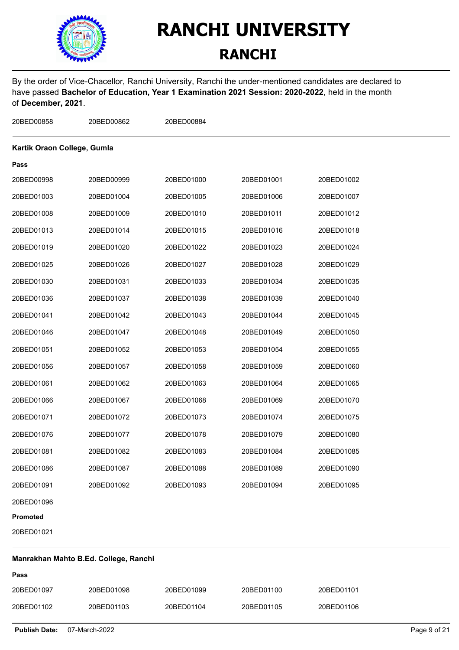

### **RANCHI**

By the order of Vice-Chacellor, Ranchi University, Ranchi the under-mentioned candidates are declared to have passed **Bachelor of Education, Year 1 Examination 2021 Session: 2020-2022**, held in the month of **December, 2021**.

| 20BED00858                  | 20BED00862                            | 20BED00884 |            |            |  |
|-----------------------------|---------------------------------------|------------|------------|------------|--|
| Kartik Oraon College, Gumla |                                       |            |            |            |  |
| Pass                        |                                       |            |            |            |  |
| 20BED00998                  | 20BED00999                            | 20BED01000 | 20BED01001 | 20BED01002 |  |
| 20BED01003                  | 20BED01004                            | 20BED01005 | 20BED01006 | 20BED01007 |  |
| 20BED01008                  | 20BED01009                            | 20BED01010 | 20BED01011 | 20BED01012 |  |
| 20BED01013                  | 20BED01014                            | 20BED01015 | 20BED01016 | 20BED01018 |  |
| 20BED01019                  | 20BED01020                            | 20BED01022 | 20BED01023 | 20BED01024 |  |
| 20BED01025                  | 20BED01026                            | 20BED01027 | 20BED01028 | 20BED01029 |  |
| 20BED01030                  | 20BED01031                            | 20BED01033 | 20BED01034 | 20BED01035 |  |
| 20BED01036                  | 20BED01037                            | 20BED01038 | 20BED01039 | 20BED01040 |  |
| 20BED01041                  | 20BED01042                            | 20BED01043 | 20BED01044 | 20BED01045 |  |
| 20BED01046                  | 20BED01047                            | 20BED01048 | 20BED01049 | 20BED01050 |  |
| 20BED01051                  | 20BED01052                            | 20BED01053 | 20BED01054 | 20BED01055 |  |
| 20BED01056                  | 20BED01057                            | 20BED01058 | 20BED01059 | 20BED01060 |  |
| 20BED01061                  | 20BED01062                            | 20BED01063 | 20BED01064 | 20BED01065 |  |
| 20BED01066                  | 20BED01067                            | 20BED01068 | 20BED01069 | 20BED01070 |  |
| 20BED01071                  | 20BED01072                            | 20BED01073 | 20BED01074 | 20BED01075 |  |
| 20BED01076                  | 20BED01077                            | 20BED01078 | 20BED01079 | 20BED01080 |  |
| 20BED01081                  | 20BED01082                            | 20BED01083 | 20BED01084 | 20BED01085 |  |
| 20BED01086                  | 20BED01087                            | 20BED01088 | 20BED01089 | 20BED01090 |  |
| 20BED01091                  | 20BED01092                            | 20BED01093 | 20BED01094 | 20BED01095 |  |
| 20BED01096                  |                                       |            |            |            |  |
| Promoted                    |                                       |            |            |            |  |
| 20BED01021                  |                                       |            |            |            |  |
|                             | Manrakhan Mahto B.Ed. College, Ranchi |            |            |            |  |

#### **Manrakhan Mahto B.Ed. College, Ranchi**

| Pass       |            |            |            |            |
|------------|------------|------------|------------|------------|
| 20BED01097 | 20BED01098 | 20BED01099 | 20BED01100 | 20BED01101 |
| 20BED01102 | 20BED01103 | 20BED01104 | 20BED01105 | 20BED01106 |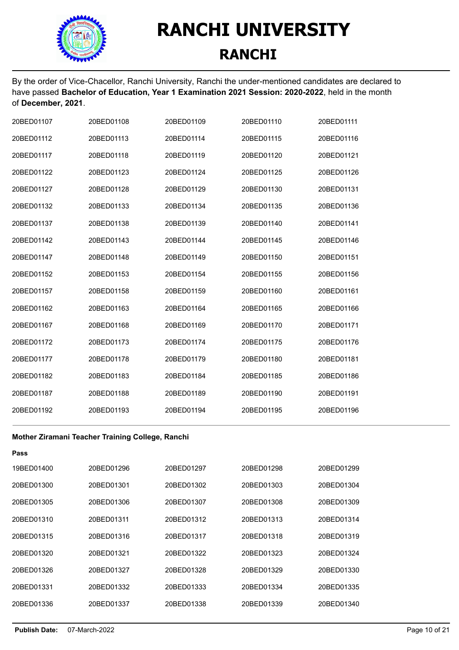

By the order of Vice-Chacellor, Ranchi University, Ranchi the under-mentioned candidates are declared to have passed **Bachelor of Education, Year 1 Examination 2021 Session: 2020-2022**, held in the month of **December, 2021**.

| 20BED01107 | 20BED01108 | 20BED01109 | 20BED01110 | 20BED01111 |
|------------|------------|------------|------------|------------|
| 20BED01112 | 20BED01113 | 20BED01114 | 20BED01115 | 20BED01116 |
| 20BED01117 | 20BED01118 | 20BED01119 | 20BED01120 | 20BED01121 |
| 20BED01122 | 20BED01123 | 20BED01124 | 20BED01125 | 20BED01126 |
| 20BED01127 | 20BED01128 | 20BED01129 | 20BED01130 | 20BED01131 |
| 20BED01132 | 20BED01133 | 20BED01134 | 20BED01135 | 20BED01136 |
| 20BED01137 | 20BED01138 | 20BED01139 | 20BED01140 | 20BED01141 |
| 20BED01142 | 20BED01143 | 20BED01144 | 20BED01145 | 20BED01146 |
| 20BED01147 | 20BED01148 | 20BED01149 | 20BED01150 | 20BED01151 |
| 20BED01152 | 20BED01153 | 20BED01154 | 20BED01155 | 20BED01156 |
| 20BED01157 | 20BED01158 | 20BED01159 | 20BED01160 | 20BED01161 |
| 20BED01162 | 20BED01163 | 20BED01164 | 20BED01165 | 20BED01166 |
| 20BED01167 | 20BED01168 | 20BED01169 | 20BED01170 | 20BED01171 |
| 20BED01172 | 20BED01173 | 20BED01174 | 20BED01175 | 20BED01176 |
| 20BED01177 | 20BED01178 | 20BED01179 | 20BED01180 | 20BED01181 |
| 20BED01182 | 20BED01183 | 20BED01184 | 20BED01185 | 20BED01186 |
| 20BED01187 | 20BED01188 | 20BED01189 | 20BED01190 | 20BED01191 |
| 20BED01192 | 20BED01193 | 20BED01194 | 20BED01195 | 20BED01196 |

#### **Mother Ziramani Teacher Training College, Ranchi**

| Pass       |            |            |            |            |
|------------|------------|------------|------------|------------|
| 19BED01400 | 20BED01296 | 20BED01297 | 20BED01298 | 20BED01299 |
| 20BED01300 | 20BED01301 | 20BED01302 | 20BED01303 | 20BED01304 |
| 20BED01305 | 20BED01306 | 20BED01307 | 20BED01308 | 20BED01309 |
| 20BED01310 | 20BED01311 | 20BED01312 | 20BED01313 | 20BED01314 |
| 20BED01315 | 20BED01316 | 20BED01317 | 20BED01318 | 20BED01319 |
| 20BED01320 | 20BED01321 | 20BED01322 | 20BED01323 | 20BED01324 |
| 20BED01326 | 20BED01327 | 20BED01328 | 20BED01329 | 20BED01330 |
| 20BED01331 | 20BED01332 | 20BED01333 | 20BED01334 | 20BED01335 |
| 20BED01336 | 20BED01337 | 20BED01338 | 20BED01339 | 20BED01340 |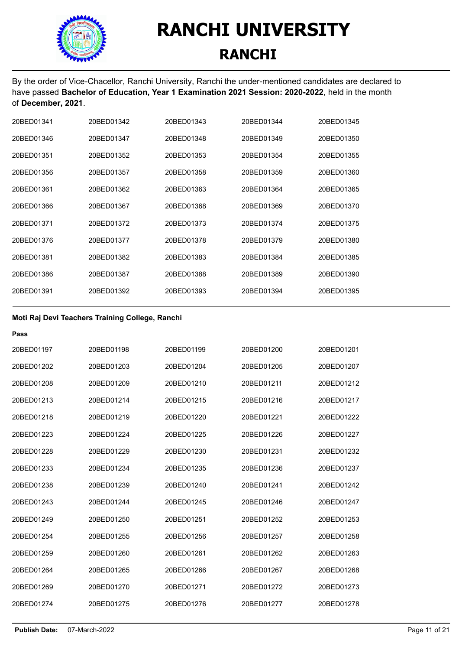

By the order of Vice-Chacellor, Ranchi University, Ranchi the under-mentioned candidates are declared to have passed **Bachelor of Education, Year 1 Examination 2021 Session: 2020-2022**, held in the month of **December, 2021**.

| 20BED01341 | 20BED01342 | 20BED01343 | 20BED01344 | 20BED01345 |
|------------|------------|------------|------------|------------|
| 20BED01346 | 20BED01347 | 20BED01348 | 20BED01349 | 20BED01350 |
| 20BED01351 | 20BED01352 | 20BED01353 | 20BED01354 | 20BED01355 |
| 20BED01356 | 20BED01357 | 20BED01358 | 20BED01359 | 20BED01360 |
| 20BED01361 | 20BED01362 | 20BED01363 | 20BED01364 | 20BED01365 |
| 20BED01366 | 20BED01367 | 20BED01368 | 20BED01369 | 20BED01370 |
| 20BED01371 | 20BED01372 | 20BED01373 | 20BED01374 | 20BED01375 |
| 20BED01376 | 20BED01377 | 20BED01378 | 20BED01379 | 20BED01380 |
| 20BED01381 | 20BED01382 | 20BED01383 | 20BED01384 | 20BED01385 |
| 20BED01386 | 20BED01387 | 20BED01388 | 20BED01389 | 20BED01390 |
| 20BED01391 | 20BED01392 | 20BED01393 | 20BED01394 | 20BED01395 |

#### **Moti Raj Devi Teachers Training College, Ranchi**

| Pass       |            |            |            |            |
|------------|------------|------------|------------|------------|
| 20BED01197 | 20BED01198 | 20BED01199 | 20BED01200 | 20BED01201 |
| 20BED01202 | 20BED01203 | 20BED01204 | 20BED01205 | 20BED01207 |
| 20BED01208 | 20BED01209 | 20BED01210 | 20BED01211 | 20BED01212 |
| 20BED01213 | 20BED01214 | 20BED01215 | 20BED01216 | 20BED01217 |
| 20BED01218 | 20BED01219 | 20BED01220 | 20BED01221 | 20BED01222 |
| 20BED01223 | 20BED01224 | 20BED01225 | 20BED01226 | 20BED01227 |
| 20BED01228 | 20BED01229 | 20BED01230 | 20BED01231 | 20BED01232 |
| 20BED01233 | 20BED01234 | 20BED01235 | 20BED01236 | 20BED01237 |
| 20BED01238 | 20BED01239 | 20BED01240 | 20BED01241 | 20BED01242 |
| 20BED01243 | 20BED01244 | 20BED01245 | 20BED01246 | 20BED01247 |
| 20BED01249 | 20BED01250 | 20BED01251 | 20BED01252 | 20BED01253 |
| 20BED01254 | 20BED01255 | 20BED01256 | 20BED01257 | 20BED01258 |
| 20BED01259 | 20BED01260 | 20BED01261 | 20BED01262 | 20BED01263 |
| 20BED01264 | 20BED01265 | 20BED01266 | 20BED01267 | 20BED01268 |
| 20BED01269 | 20BED01270 | 20BED01271 | 20BED01272 | 20BED01273 |
| 20BED01274 | 20BED01275 | 20BED01276 | 20BED01277 | 20BED01278 |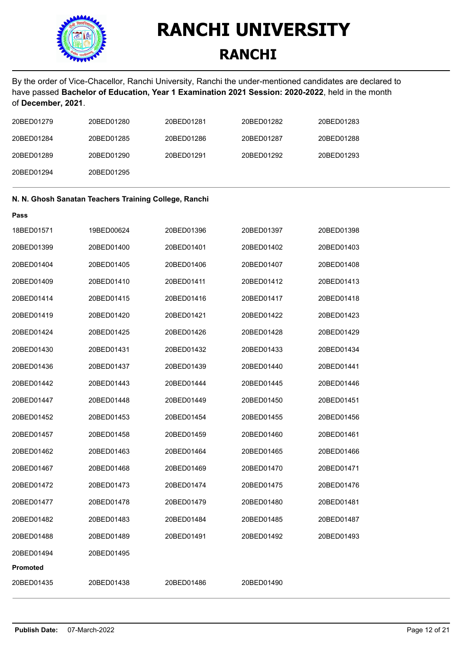

### **RANCHI**

By the order of Vice-Chacellor, Ranchi University, Ranchi the under-mentioned candidates are declared to have passed **Bachelor of Education, Year 1 Examination 2021 Session: 2020-2022**, held in the month of **December, 2021**.

| 20BED01279 | 20BED01280 | 20BED01281 | 20BED01282 | 20BED01283 |
|------------|------------|------------|------------|------------|
| 20BED01284 | 20BED01285 | 20BED01286 | 20BED01287 | 20BED01288 |
| 20BED01289 | 20BED01290 | 20BED01291 | 20BED01292 | 20BED01293 |
| 20BED01294 | 20BED01295 |            |            |            |

#### **N. N. Ghosh Sanatan Teachers Training College, Ranchi**

| 18BED01571      | 19BED00624 | 20BED01396 | 20BED01397 | 20BED01398 |
|-----------------|------------|------------|------------|------------|
| 20BED01399      | 20BED01400 | 20BED01401 | 20BED01402 | 20BED01403 |
| 20BED01404      | 20BED01405 | 20BED01406 | 20BED01407 | 20BED01408 |
| 20BED01409      | 20BED01410 | 20BED01411 | 20BED01412 | 20BED01413 |
| 20BED01414      | 20BED01415 | 20BED01416 | 20BED01417 | 20BED01418 |
| 20BED01419      | 20BED01420 | 20BED01421 | 20BED01422 | 20BED01423 |
| 20BED01424      | 20BED01425 | 20BED01426 | 20BED01428 | 20BED01429 |
| 20BED01430      | 20BED01431 | 20BED01432 | 20BED01433 | 20BED01434 |
| 20BED01436      | 20BED01437 | 20BED01439 | 20BED01440 | 20BED01441 |
| 20BED01442      | 20BED01443 | 20BED01444 | 20BED01445 | 20BED01446 |
| 20BED01447      | 20BED01448 | 20BED01449 | 20BED01450 | 20BED01451 |
| 20BED01452      | 20BED01453 | 20BED01454 | 20BED01455 | 20BED01456 |
| 20BED01457      | 20BED01458 | 20BED01459 | 20BED01460 | 20BED01461 |
| 20BED01462      | 20BED01463 | 20BED01464 | 20BED01465 | 20BED01466 |
| 20BED01467      | 20BED01468 | 20BED01469 | 20BED01470 | 20BED01471 |
| 20BED01472      | 20BED01473 | 20BED01474 | 20BED01475 | 20BED01476 |
| 20BED01477      | 20BED01478 | 20BED01479 | 20BED01480 | 20BED01481 |
| 20BED01482      | 20BED01483 | 20BED01484 | 20BED01485 | 20BED01487 |
| 20BED01488      | 20BED01489 | 20BED01491 | 20BED01492 | 20BED01493 |
| 20BED01494      | 20BED01495 |            |            |            |
| <b>Promoted</b> |            |            |            |            |
| 20BED01435      | 20BED01438 | 20BED01486 | 20BED01490 |            |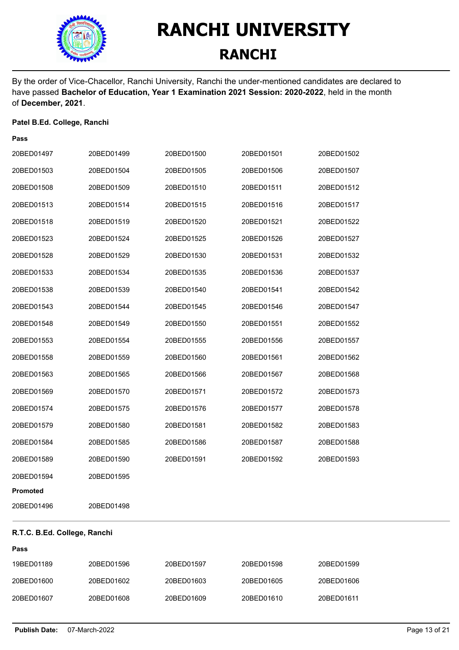

By the order of Vice-Chacellor, Ranchi University, Ranchi the under-mentioned candidates are declared to have passed **Bachelor of Education, Year 1 Examination 2021 Session: 2020-2022**, held in the month of **December, 2021**.

#### **Patel B.Ed. College, Ranchi**

| Pass       |            |            |            |            |
|------------|------------|------------|------------|------------|
| 20BED01497 | 20BED01499 | 20BED01500 | 20BED01501 | 20BED01502 |
| 20BED01503 | 20BED01504 | 20BED01505 | 20BED01506 | 20BED01507 |
| 20BED01508 | 20BED01509 | 20BED01510 | 20BED01511 | 20BED01512 |
| 20BED01513 | 20BED01514 | 20BED01515 | 20BED01516 | 20BED01517 |
| 20BED01518 | 20BED01519 | 20BED01520 | 20BED01521 | 20BED01522 |
| 20BED01523 | 20BED01524 | 20BED01525 | 20BED01526 | 20BED01527 |
| 20BED01528 | 20BED01529 | 20BED01530 | 20BED01531 | 20BED01532 |
| 20BED01533 | 20BED01534 | 20BED01535 | 20BED01536 | 20BED01537 |
| 20BED01538 | 20BED01539 | 20BED01540 | 20BED01541 | 20BED01542 |
| 20BED01543 | 20BED01544 | 20BED01545 | 20BED01546 | 20BED01547 |
| 20BED01548 | 20BED01549 | 20BED01550 | 20BED01551 | 20BED01552 |
| 20BED01553 | 20BED01554 | 20BED01555 | 20BED01556 | 20BED01557 |
| 20BED01558 | 20BED01559 | 20BED01560 | 20BED01561 | 20BED01562 |
| 20BED01563 | 20BED01565 | 20BED01566 | 20BED01567 | 20BED01568 |
| 20BED01569 | 20BED01570 | 20BED01571 | 20BED01572 | 20BED01573 |
| 20BED01574 | 20BED01575 | 20BED01576 | 20BED01577 | 20BED01578 |
| 20BED01579 | 20BED01580 | 20BED01581 | 20BED01582 | 20BED01583 |
| 20BED01584 | 20BED01585 | 20BED01586 | 20BED01587 | 20BED01588 |
| 20BED01589 | 20BED01590 | 20BED01591 | 20BED01592 | 20BED01593 |
| 20BED01594 | 20BED01595 |            |            |            |
| Promoted   |            |            |            |            |
| 20BED01496 | 20BED01498 |            |            |            |

### **R.T.C. B.Ed. College, Ranchi**

| 19BED01189 | 20BED01596 | 20BED01597 | 20BED01598 | 20BED01599 |
|------------|------------|------------|------------|------------|
| 20BED01600 | 20BED01602 | 20BED01603 | 20BED01605 | 20BED01606 |
| 20BED01607 | 20BED01608 | 20BED01609 | 20BED01610 | 20BED01611 |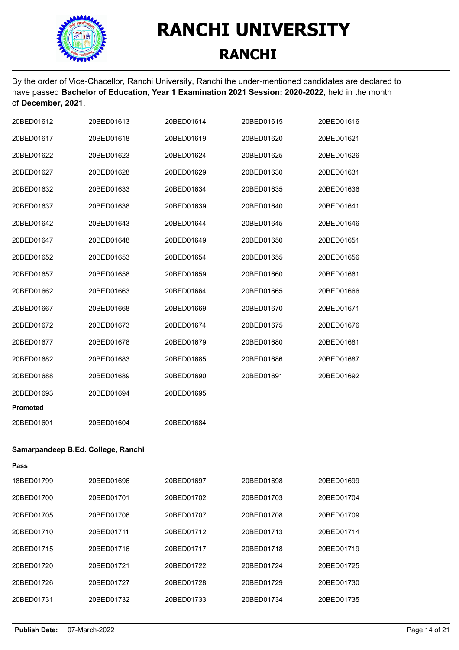

By the order of Vice-Chacellor, Ranchi University, Ranchi the under-mentioned candidates are declared to have passed **Bachelor of Education, Year 1 Examination 2021 Session: 2020-2022**, held in the month of **December, 2021**.

| 20BED01612      | 20BED01613 | 20BED01614 | 20BED01615 | 20BED01616 |
|-----------------|------------|------------|------------|------------|
| 20BED01617      | 20BED01618 | 20BED01619 | 20BED01620 | 20BED01621 |
| 20BED01622      | 20BED01623 | 20BED01624 | 20BED01625 | 20BED01626 |
| 20BED01627      | 20BED01628 | 20BED01629 | 20BED01630 | 20BED01631 |
| 20BED01632      | 20BED01633 | 20BED01634 | 20BED01635 | 20BED01636 |
| 20BED01637      | 20BED01638 | 20BED01639 | 20BED01640 | 20BED01641 |
| 20BED01642      | 20BED01643 | 20BED01644 | 20BED01645 | 20BED01646 |
| 20BED01647      | 20BED01648 | 20BED01649 | 20BED01650 | 20BED01651 |
| 20BED01652      | 20BED01653 | 20BED01654 | 20BED01655 | 20BED01656 |
| 20BED01657      | 20BED01658 | 20BED01659 | 20BED01660 | 20BED01661 |
| 20BED01662      | 20BED01663 | 20BED01664 | 20BED01665 | 20BED01666 |
| 20BED01667      | 20BED01668 | 20BED01669 | 20BED01670 | 20BED01671 |
| 20BED01672      | 20BED01673 | 20BED01674 | 20BED01675 | 20BED01676 |
| 20BED01677      | 20BED01678 | 20BED01679 | 20BED01680 | 20BED01681 |
| 20BED01682      | 20BED01683 | 20BED01685 | 20BED01686 | 20BED01687 |
| 20BED01688      | 20BED01689 | 20BED01690 | 20BED01691 | 20BED01692 |
| 20BED01693      | 20BED01694 | 20BED01695 |            |            |
| <b>Promoted</b> |            |            |            |            |
| 20BED01601      | 20BED01604 | 20BED01684 |            |            |

#### **Samarpandeep B.Ed. College, Ranchi**

| Pass       |            |            |            |            |
|------------|------------|------------|------------|------------|
| 18BED01799 | 20BED01696 | 20BED01697 | 20BED01698 | 20BED01699 |
| 20BED01700 | 20BED01701 | 20BED01702 | 20BED01703 | 20BED01704 |
| 20BED01705 | 20BED01706 | 20BED01707 | 20BED01708 | 20BED01709 |
| 20BED01710 | 20BED01711 | 20BED01712 | 20BED01713 | 20BED01714 |
| 20BFD01715 | 20BFD01716 | 20BFD01717 | 20BED01718 | 20BED01719 |
| 20BED01720 | 20BED01721 | 20BED01722 | 20BED01724 | 20BED01725 |
| 20BED01726 | 20BED01727 | 20BFD01728 | 20BED01729 | 20BED01730 |
| 20BED01731 | 20BED01732 | 20BED01733 | 20BED01734 | 20BED01735 |
|            |            |            |            |            |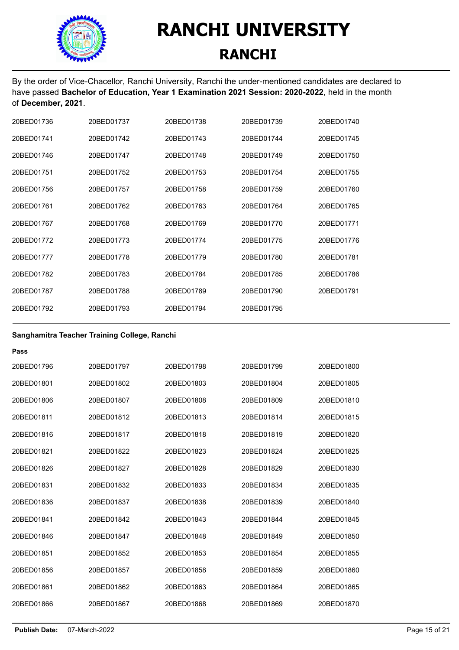

By the order of Vice-Chacellor, Ranchi University, Ranchi the under-mentioned candidates are declared to have passed **Bachelor of Education, Year 1 Examination 2021 Session: 2020-2022**, held in the month of **December, 2021**.

| 20BED01736 | 20BED01737 | 20BED01738 | 20BED01739 | 20BED01740 |
|------------|------------|------------|------------|------------|
| 20BED01741 | 20BED01742 | 20BED01743 | 20BED01744 | 20BED01745 |
| 20BED01746 | 20BED01747 | 20BED01748 | 20BED01749 | 20BED01750 |
| 20BED01751 | 20BED01752 | 20BED01753 | 20BED01754 | 20BED01755 |
| 20BED01756 | 20BED01757 | 20BED01758 | 20BED01759 | 20BED01760 |
| 20BFD01761 | 20BED01762 | 20BED01763 | 20BED01764 | 20BED01765 |
| 20BED01767 | 20BED01768 | 20BED01769 | 20BED01770 | 20BED01771 |
| 20BFD01772 | 20BED01773 | 20BED01774 | 20BED01775 | 20BED01776 |
| 20BED01777 | 20BED01778 | 20BED01779 | 20BED01780 | 20BED01781 |
| 20BED01782 | 20BED01783 | 20BED01784 | 20BED01785 | 20BED01786 |
| 20BED01787 | 20BED01788 | 20BED01789 | 20BED01790 | 20BED01791 |
| 20BED01792 | 20BED01793 | 20BED01794 | 20BED01795 |            |

#### **Sanghamitra Teacher Training College, Ranchi**

| 20BED01797 | 20BED01798 | 20BED01799 | 20BED01800 |
|------------|------------|------------|------------|
| 20BFD01802 | 20BED01803 | 20BED01804 | 20BED01805 |
| 20BED01807 | 20BED01808 | 20BED01809 | 20BED01810 |
| 20BED01812 | 20BED01813 | 20BED01814 | 20BED01815 |
| 20BED01817 | 20BED01818 | 20BED01819 | 20BED01820 |
| 20BED01822 | 20BED01823 | 20BED01824 | 20BED01825 |
| 20BED01827 | 20BED01828 | 20BED01829 | 20BED01830 |
| 20BED01832 | 20BED01833 | 20BED01834 | 20BED01835 |
| 20BED01837 | 20BED01838 | 20BED01839 | 20BED01840 |
| 20BED01842 | 20BED01843 | 20BED01844 | 20BED01845 |
| 20BED01847 | 20BED01848 | 20BED01849 | 20BED01850 |
| 20BED01852 | 20BED01853 | 20BED01854 | 20BED01855 |
| 20BED01857 | 20BED01858 | 20BED01859 | 20BED01860 |
| 20BED01862 | 20BED01863 | 20BED01864 | 20BED01865 |
| 20BED01867 | 20BED01868 | 20BED01869 | 20BED01870 |
|            |            |            |            |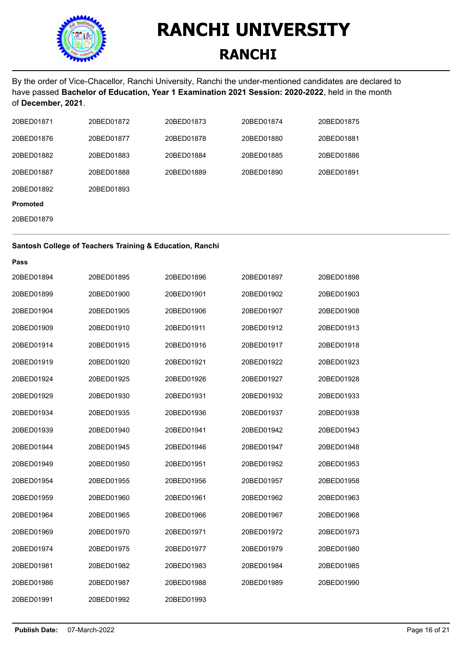

### **RANCHI**

By the order of Vice-Chacellor, Ranchi University, Ranchi the under-mentioned candidates are declared to have passed **Bachelor of Education, Year 1 Examination 2021 Session: 2020-2022**, held in the month of **December, 2021**.

| 20BED01871      | 20BED01872 | 20BED01873 | 20BED01874 | 20BED01875 |
|-----------------|------------|------------|------------|------------|
| 20BED01876      | 20BED01877 | 20BED01878 | 20BED01880 | 20BED01881 |
| 20BED01882      | 20BED01883 | 20BED01884 | 20BED01885 | 20BED01886 |
| 20BED01887      | 20BED01888 | 20BED01889 | 20BED01890 | 20BED01891 |
| 20BED01892      | 20BED01893 |            |            |            |
| <b>Promoted</b> |            |            |            |            |
| 20BED01879      |            |            |            |            |

#### **Santosh College of Teachers Training & Education, Ranchi**

| Pass       |            |            |            |            |
|------------|------------|------------|------------|------------|
| 20BED01894 | 20BED01895 | 20BED01896 | 20BED01897 | 20BED01898 |
| 20BED01899 | 20BED01900 | 20BED01901 | 20BED01902 | 20BED01903 |
| 20BED01904 | 20BED01905 | 20BED01906 | 20BED01907 | 20BED01908 |
| 20BED01909 | 20BED01910 | 20BED01911 | 20BED01912 | 20BED01913 |
| 20BED01914 | 20BED01915 | 20BED01916 | 20BED01917 | 20BED01918 |
| 20BED01919 | 20BED01920 | 20BED01921 | 20BED01922 | 20BED01923 |
| 20BED01924 | 20BED01925 | 20BED01926 | 20BED01927 | 20BED01928 |
| 20BED01929 | 20BED01930 | 20BED01931 | 20BED01932 | 20BED01933 |
| 20BED01934 | 20BED01935 | 20BED01936 | 20BED01937 | 20BED01938 |
| 20BED01939 | 20BED01940 | 20BED01941 | 20BED01942 | 20BED01943 |
| 20BED01944 | 20BED01945 | 20BED01946 | 20BED01947 | 20BED01948 |
| 20BED01949 | 20BED01950 | 20BED01951 | 20BED01952 | 20BED01953 |
| 20BED01954 | 20BED01955 | 20BED01956 | 20BED01957 | 20BED01958 |
| 20BED01959 | 20BED01960 | 20BED01961 | 20BED01962 | 20BED01963 |
| 20BED01964 | 20BED01965 | 20BED01966 | 20BED01967 | 20BED01968 |
| 20BED01969 | 20BED01970 | 20BED01971 | 20BED01972 | 20BED01973 |
| 20BED01974 | 20BED01975 | 20BED01977 | 20BED01979 | 20BED01980 |
| 20BED01981 | 20BED01982 | 20BED01983 | 20BED01984 | 20BED01985 |
| 20BED01986 | 20BED01987 | 20BED01988 | 20BED01989 | 20BED01990 |
| 20BED01991 | 20BED01992 | 20BED01993 |            |            |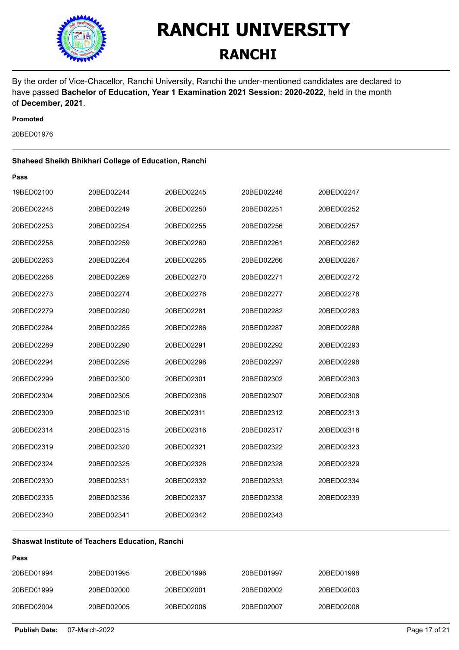

### **RANCHI**

By the order of Vice-Chacellor, Ranchi University, Ranchi the under-mentioned candidates are declared to have passed **Bachelor of Education, Year 1 Examination 2021 Session: 2020-2022**, held in the month of **December, 2021**.

#### **Promoted**

**Pass**

20BED01976

#### **Shaheed Sheikh Bhikhari College of Education, Ranchi**

| 19BED02100 | 20BED02244 | 20BED02245 | 20BED02246 | 20BED02247 |
|------------|------------|------------|------------|------------|
| 20BED02248 | 20BED02249 | 20BED02250 | 20BED02251 | 20BED02252 |
| 20BED02253 | 20BED02254 | 20BED02255 | 20BED02256 | 20BED02257 |
| 20BED02258 | 20BED02259 | 20BED02260 | 20BED02261 | 20BED02262 |
| 20BED02263 | 20BED02264 | 20BED02265 | 20BED02266 | 20BED02267 |
| 20BED02268 | 20BED02269 | 20BED02270 | 20BED02271 | 20BED02272 |
| 20BED02273 | 20BED02274 | 20BED02276 | 20BED02277 | 20BED02278 |
| 20BED02279 | 20BED02280 | 20BED02281 | 20BED02282 | 20BED02283 |
| 20BED02284 | 20BED02285 | 20BED02286 | 20BED02287 | 20BED02288 |
| 20BED02289 | 20BED02290 | 20BED02291 | 20BED02292 | 20BED02293 |
| 20BED02294 | 20BED02295 | 20BED02296 | 20BED02297 | 20BED02298 |
| 20BED02299 | 20BED02300 | 20BED02301 | 20BED02302 | 20BED02303 |
| 20BED02304 | 20BED02305 | 20BED02306 | 20BED02307 | 20BED02308 |
| 20BED02309 | 20BED02310 | 20BED02311 | 20BED02312 | 20BED02313 |
| 20BED02314 | 20BED02315 | 20BED02316 | 20BED02317 | 20BED02318 |
| 20BED02319 | 20BED02320 | 20BED02321 | 20BED02322 | 20BED02323 |
| 20BED02324 | 20BED02325 | 20BED02326 | 20BED02328 | 20BED02329 |
| 20BED02330 | 20BED02331 | 20BED02332 | 20BED02333 | 20BED02334 |
| 20BED02335 | 20BED02336 | 20BED02337 | 20BED02338 | 20BED02339 |
| 20BED02340 | 20BED02341 | 20BED02342 | 20BED02343 |            |

#### **Shaswat Institute of Teachers Education, Ranchi**

| 20BED01994 | 20BED01995 | 20BED01996 | 20BED01997 | 20BED01998 |
|------------|------------|------------|------------|------------|
| 20BED01999 | 20BED02000 | 20BED02001 | 20BED02002 | 20BED02003 |
| 20BED02004 | 20BED02005 | 20BED02006 | 20BED02007 | 20BED02008 |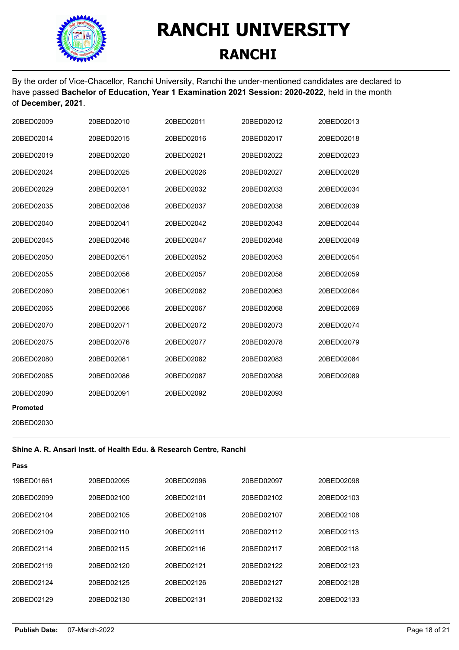

By the order of Vice-Chacellor, Ranchi University, Ranchi the under-mentioned candidates are declared to have passed **Bachelor of Education, Year 1 Examination 2021 Session: 2020-2022**, held in the month of **December, 2021**.

| 20BED02009      | 20BED02010 | 20BED02011 | 20BED02012 | 20BED02013 |
|-----------------|------------|------------|------------|------------|
| 20BED02014      | 20BED02015 | 20BED02016 | 20BED02017 | 20BED02018 |
| 20BED02019      | 20BED02020 | 20BED02021 | 20BED02022 | 20BED02023 |
| 20BED02024      | 20BED02025 | 20BED02026 | 20BED02027 | 20BED02028 |
| 20BED02029      | 20BED02031 | 20BED02032 | 20BED02033 | 20BED02034 |
| 20BED02035      | 20BED02036 | 20BED02037 | 20BED02038 | 20BED02039 |
| 20BED02040      | 20BED02041 | 20BED02042 | 20BED02043 | 20BED02044 |
| 20BED02045      | 20BED02046 | 20BED02047 | 20BED02048 | 20BED02049 |
| 20BED02050      | 20BED02051 | 20BED02052 | 20BED02053 | 20BED02054 |
| 20BED02055      | 20BED02056 | 20BED02057 | 20BED02058 | 20BED02059 |
| 20BED02060      | 20BED02061 | 20BED02062 | 20BED02063 | 20BED02064 |
| 20BED02065      | 20BED02066 | 20BED02067 | 20BED02068 | 20BED02069 |
| 20BED02070      | 20BED02071 | 20BED02072 | 20BED02073 | 20BED02074 |
| 20BED02075      | 20BED02076 | 20BED02077 | 20BED02078 | 20BED02079 |
| 20BED02080      | 20BED02081 | 20BED02082 | 20BED02083 | 20BED02084 |
| 20BED02085      | 20BED02086 | 20BED02087 | 20BED02088 | 20BED02089 |
| 20BED02090      | 20BED02091 | 20BED02092 | 20BED02093 |            |
| <b>Promoted</b> |            |            |            |            |
| 20BED02030      |            |            |            |            |

#### **Shine A. R. Ansari Instt. of Health Edu. & Research Centre, Ranchi**

| Pass       |            |            |            |            |
|------------|------------|------------|------------|------------|
| 19BED01661 | 20BED02095 | 20BED02096 | 20BED02097 | 20BED02098 |
| 20BED02099 | 20BED02100 | 20BFD02101 | 20BED02102 | 20BED02103 |
| 20BED02104 | 20BED02105 | 20BED02106 | 20BED02107 | 20BED02108 |
| 20BED02109 | 20BED02110 | 20BFD02111 | 20BFD02112 | 20BFD02113 |
| 20BFD02114 | 20BFD02115 | 20BFD02116 | 20BFD02117 | 20BED02118 |
| 20BED02119 | 20BED02120 | 20BED02121 | 20BED02122 | 20BED02123 |
| 20BFD02124 | 20BFD02125 | 20BFD02126 | 20BFD02127 | 20BED02128 |
| 20BED02129 | 20BED02130 | 20BED02131 | 20BED02132 | 20BED02133 |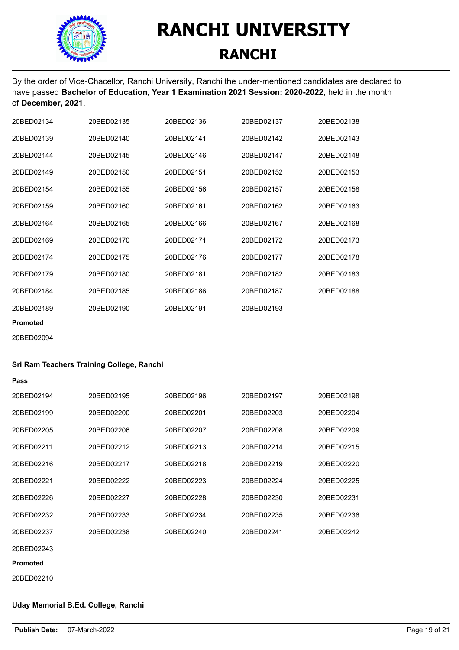

By the order of Vice-Chacellor, Ranchi University, Ranchi the under-mentioned candidates are declared to have passed **Bachelor of Education, Year 1 Examination 2021 Session: 2020-2022**, held in the month of **December, 2021**.

| 20BFD02134      | 20BFD02135 | 20BFD02136 | 20BFD02137 | 20BFD02138 |
|-----------------|------------|------------|------------|------------|
| 20BFD02139      | 20BFD02140 | 20BED02141 | 20BED02142 | 20BED02143 |
| 20BFD02144      | 20BFD02145 | 20BFD02146 | 20BFD02147 | 20BFD02148 |
| 20BED02149      | 20BED02150 | 20BED02151 | 20BED02152 | 20BED02153 |
| 20BFD02154      | 20BFD02155 | 20BED02156 | 20BED02157 | 20BED02158 |
| 20BED02159      | 20BED02160 | 20BED02161 | 20BED02162 | 20BED02163 |
| 20BFD02164      | 20BED02165 | 20BED02166 | 20BED02167 | 20BED02168 |
| 20BFD02169      | 20BFD02170 | 20BFD02171 | 20BFD02172 | 20BFD02173 |
| 20BFD02174      | 20BFD02175 | 20BED02176 | 20BED02177 | 20BED02178 |
| 20BFD02179      | 20BFD02180 | 20BED02181 | 20BED02182 | 20BED02183 |
| 20BED02184      | 20BED02185 | 20BED02186 | 20BED02187 | 20BED02188 |
| 20BFD02189      | 20BED02190 | 20BED02191 | 20BFD02193 |            |
| <b>Promoted</b> |            |            |            |            |

20BED02094

#### **Sri Ram Teachers Training College, Ranchi**

| Pass            |            |            |            |            |
|-----------------|------------|------------|------------|------------|
| 20BED02194      | 20BED02195 | 20BED02196 | 20BED02197 | 20BED02198 |
| 20BED02199      | 20BED02200 | 20BED02201 | 20BED02203 | 20BED02204 |
| 20BED02205      | 20BED02206 | 20BED02207 | 20BED02208 | 20BED02209 |
| 20BED02211      | 20BED02212 | 20BED02213 | 20BED02214 | 20BED02215 |
| 20BED02216      | 20BED02217 | 20BED02218 | 20BED02219 | 20BED02220 |
| 20BED02221      | 20BED02222 | 20BED02223 | 20BED02224 | 20BED02225 |
| 20BED02226      | 20BED02227 | 20BED02228 | 20BED02230 | 20BED02231 |
| 20BED02232      | 20BED02233 | 20BED02234 | 20BED02235 | 20BED02236 |
| 20BED02237      | 20BED02238 | 20BED02240 | 20BED02241 | 20BED02242 |
| 20BED02243      |            |            |            |            |
| <b>Promoted</b> |            |            |            |            |
| 20BED02210      |            |            |            |            |

#### **Uday Memorial B.Ed. College, Ranchi**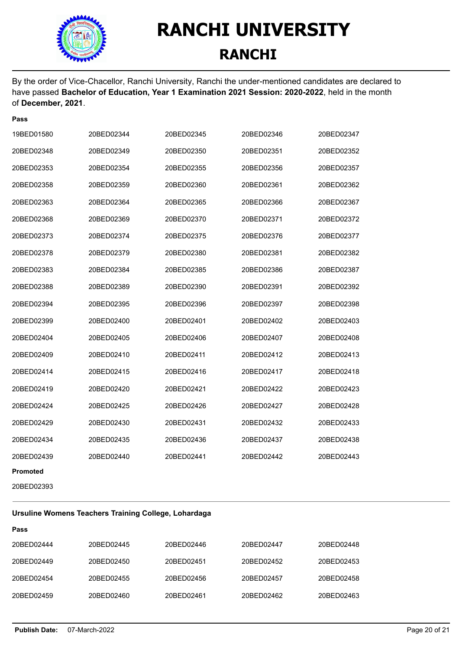

**Pass**

### **RANCHI UNIVERSITY RANCHI**

By the order of Vice-Chacellor, Ranchi University, Ranchi the under-mentioned candidates are declared to have passed **Bachelor of Education, Year 1 Examination 2021 Session: 2020-2022**, held in the month of **December, 2021**.

| 19BED01580 | 20BED02344 | 20BED02345 | 20BED02346 | 20BED02347 |
|------------|------------|------------|------------|------------|
| 20BED02348 | 20BED02349 | 20BED02350 | 20BED02351 | 20BED02352 |
| 20BED02353 | 20BED02354 | 20BED02355 | 20BED02356 | 20BED02357 |
| 20BED02358 | 20BED02359 | 20BED02360 | 20BED02361 | 20BED02362 |
| 20BED02363 | 20BED02364 | 20BED02365 | 20BED02366 | 20BED02367 |
| 20BED02368 | 20BED02369 | 20BED02370 | 20BED02371 | 20BED02372 |
| 20BED02373 | 20BED02374 | 20BED02375 | 20BED02376 | 20BED02377 |
| 20BED02378 | 20BED02379 | 20BED02380 | 20BED02381 | 20BED02382 |
| 20BED02383 | 20BED02384 | 20BED02385 | 20BED02386 | 20BED02387 |
| 20BED02388 | 20BED02389 | 20BED02390 | 20BED02391 | 20BED02392 |
| 20BED02394 | 20BED02395 | 20BED02396 | 20BED02397 | 20BED02398 |
| 20BED02399 | 20BED02400 | 20BED02401 | 20BED02402 | 20BED02403 |
| 20BED02404 | 20BED02405 | 20BED02406 | 20BED02407 | 20BED02408 |
| 20BED02409 | 20BED02410 | 20BED02411 | 20BED02412 | 20BED02413 |
| 20BED02414 | 20BED02415 | 20BED02416 | 20BED02417 | 20BED02418 |
| 20BED02419 | 20BED02420 | 20BED02421 | 20BED02422 | 20BED02423 |
| 20BED02424 | 20BED02425 | 20BED02426 | 20BED02427 | 20BED02428 |
| 20BED02429 | 20BED02430 | 20BED02431 | 20BED02432 | 20BED02433 |
| 20BED02434 | 20BED02435 | 20BED02436 | 20BED02437 | 20BED02438 |
| 20BED02439 | 20BED02440 | 20BED02441 | 20BED02442 | 20BED02443 |
| Promoted   |            |            |            |            |

20BED02393

**Pass**

#### **Ursuline Womens Teachers Training College, Lohardaga**

| 20BED02444 | 20BED02445 | 20BED02446 | 20BED02447 | 20BED02448 |
|------------|------------|------------|------------|------------|
| 20BED02449 | 20BED02450 | 20BED02451 | 20BED02452 | 20BED02453 |
| 20BED02454 | 20BED02455 | 20BED02456 | 20BED02457 | 20BED02458 |
| 20BED02459 | 20BED02460 | 20BED02461 | 20BED02462 | 20BED02463 |
|            |            |            |            |            |